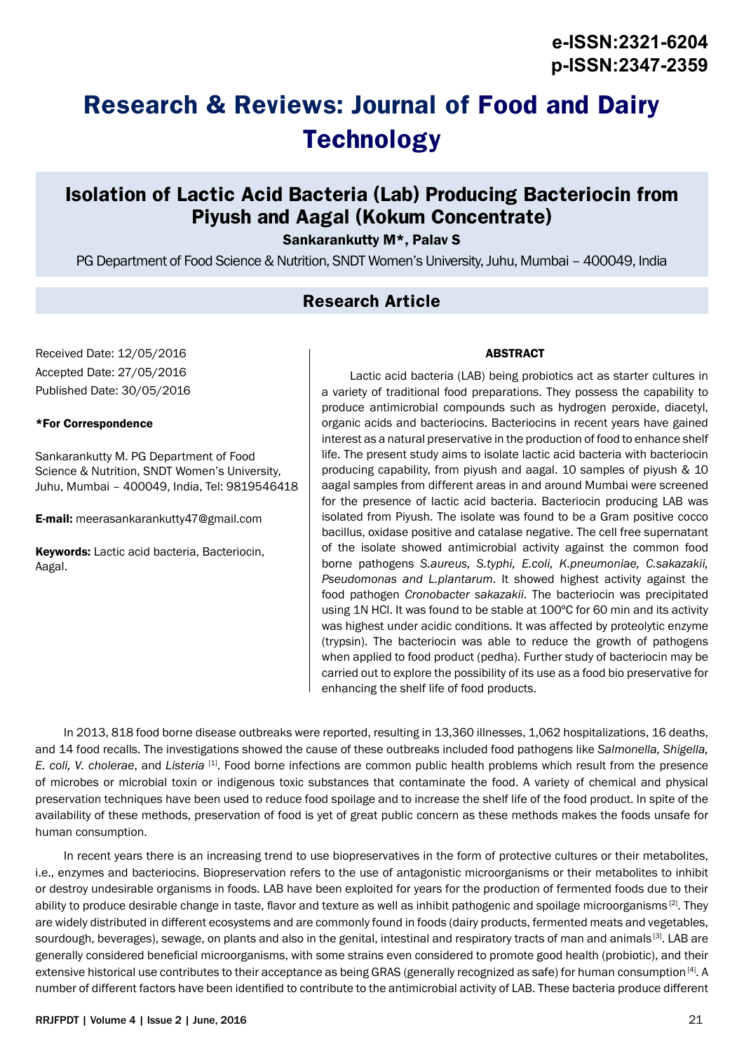# **Research & Reviews: Journal of Food and Dairy Technology**

# **Isolation of Lactic Acid Bacteria (Lab) Producing Bacteriocin from Piyush and Aagal (Kokum Concentrate)**

Sankarankutty M\*, Palav S

PG Department of Food Science & Nutrition, SNDT Women's University, Juhu, Mumbai – 400049, India

### **Research Article**

Received Date: 12/05/2016 Accepted Date: 27/05/2016 Published Date: 30/05/2016

#### \*For Correspondence

Sankarankutty M. PG Department of Food Science & Nutrition, SNDT Women's University, Juhu, Mumbai – 400049, India, Tel: 9819546418

E-mail: meerasankarankutty47@gmail.com

Keywords: Lactic acid bacteria, Bacteriocin, Aagal.

#### ABSTRACT

Lactic acid bacteria (LAB) being probiotics act as starter cultures in a variety of traditional food preparations. They possess the capability to produce antimicrobial compounds such as hydrogen peroxide, diacetyl, organic acids and bacteriocins. Bacteriocins in recent years have gained interest as a natural preservative in the production of food to enhance shelf life. The present study aims to isolate lactic acid bacteria with bacteriocin producing capability, from piyush and aagal. 10 samples of piyush & 10 aagal samples from different areas in and around Mumbai were screened for the presence of lactic acid bacteria. Bacteriocin producing LAB was isolated from Piyush. The isolate was found to be a Gram positive cocco bacillus, oxidase positive and catalase negative. The cell free supernatant of the isolate showed antimicrobial activity against the common food borne pathogens *S.aureus, S.typhi, E.coli, K.pneumoniae, C.sakazakii, Pseudomonas and L.plantarum*. It showed highest activity against the food pathogen *Cronobacter sakazakii*. The bacteriocin was precipitated using 1N HCl. It was found to be stable at 100ºC for 60 min and its activity was highest under acidic conditions. It was affected by proteolytic enzyme (trypsin). The bacteriocin was able to reduce the growth of pathogens when applied to food product (pedha). Further study of bacteriocin may be carried out to explore the possibility of its use as a food bio preservative for enhancing the shelf life of food products.

In 2013, 818 food borne disease outbreaks were reported, resulting in 13,360 illnesses, 1,062 hospitalizations, 16 deaths, and 14 food recalls. The investigations showed the cause of these outbreaks included food pathogens like *Salmonella, Shigella, E. coli, V. cholerae*, and *Listeria* [1]. Food borne infections are common public health problems which result from the presence of microbes or microbial toxin or indigenous toxic substances that contaminate the food. A variety of chemical and physical preservation techniques have been used to reduce food spoilage and to increase the shelf life of the food product. In spite of the availability of these methods, preservation of food is yet of great public concern as these methods makes the foods unsafe for human consumption.

In recent years there is an increasing trend to use biopreservatives in the form of protective cultures or their metabolites, i.e., enzymes and bacteriocins. Biopreservation refers to the use of antagonistic microorganisms or their metabolites to inhibit or destroy undesirable organisms in foods. LAB have been exploited for years for the production of fermented foods due to their ability to produce desirable change in taste, flavor and texture as well as inhibit pathogenic and spoilage microorganisms<sup>[2]</sup>. They are widely distributed in different ecosystems and are commonly found in foods (dairy products, fermented meats and vegetables, sourdough, beverages), sewage, on plants and also in the genital, intestinal and respiratory tracts of man and animals [3]. LAB are generally considered beneficial microorganisms, with some strains even considered to promote good health (probiotic), and their extensive historical use contributes to their acceptance as being GRAS (generally recognized as safe) for human consumption [4]. A number of different factors have been identified to contribute to the antimicrobial activity of LAB. These bacteria produce different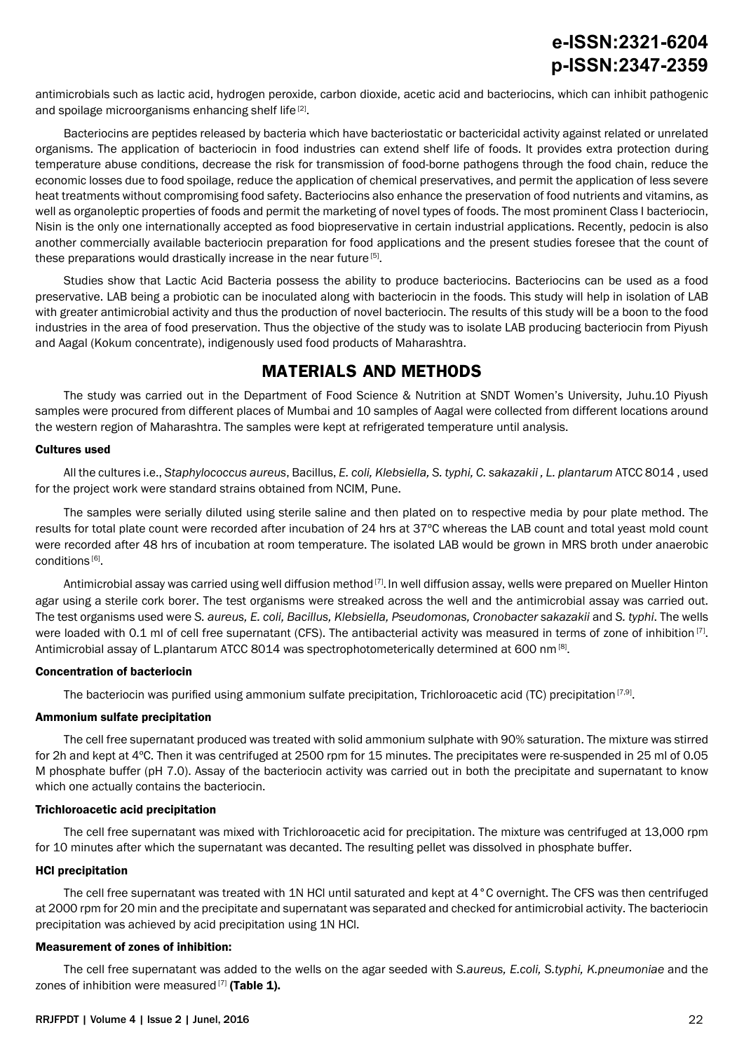antimicrobials such as lactic acid, hydrogen peroxide, carbon dioxide, acetic acid and bacteriocins, which can inhibit pathogenic and spoilage microorganisms enhancing shelf life [2].

Bacteriocins are peptides released by bacteria which have bacteriostatic or bactericidal activity against related or unrelated organisms. The application of bacteriocin in food industries can extend shelf life of foods. It provides extra protection during temperature abuse conditions, decrease the risk for transmission of food-borne pathogens through the food chain, reduce the economic losses due to food spoilage, reduce the application of chemical preservatives, and permit the application of less severe heat treatments without compromising food safety. Bacteriocins also enhance the preservation of food nutrients and vitamins, as well as organoleptic properties of foods and permit the marketing of novel types of foods. The most prominent Class I bacteriocin, Nisin is the only one internationally accepted as food biopreservative in certain industrial applications. Recently, pedocin is also another commercially available bacteriocin preparation for food applications and the present studies foresee that the count of these preparations would drastically increase in the near future [5].

Studies show that Lactic Acid Bacteria possess the ability to produce bacteriocins. Bacteriocins can be used as a food preservative. LAB being a probiotic can be inoculated along with bacteriocin in the foods. This study will help in isolation of LAB with greater antimicrobial activity and thus the production of novel bacteriocin. The results of this study will be a boon to the food industries in the area of food preservation. Thus the objective of the study was to isolate LAB producing bacteriocin from Piyush and Aagal (Kokum concentrate), indigenously used food products of Maharashtra.

## **MATERIALS AND METHODS**

The study was carried out in the Department of Food Science & Nutrition at SNDT Women's University, Juhu.10 Piyush samples were procured from different places of Mumbai and 10 samples of Aagal were collected from different locations around the western region of Maharashtra. The samples were kept at refrigerated temperature until analysis.

#### Cultures used

All the cultures i.e., *Staphylococcus aureus*, Bacillus, *E. coli, Klebsiella, S. typhi, C. sakazakii , L. plantarum* ATCC 8014 , used for the project work were standard strains obtained from NCIM, Pune.

The samples were serially diluted using sterile saline and then plated on to respective media by pour plate method. The results for total plate count were recorded after incubation of 24 hrs at 37ºC whereas the LAB count and total yeast mold count were recorded after 48 hrs of incubation at room temperature. The isolated LAB would be grown in MRS broth under anaerobic conditions [6].

Antimicrobial assay was carried using well diffusion method<sup>[7]</sup>. In well diffusion assay, wells were prepared on Mueller Hinton agar using a sterile cork borer. The test organisms were streaked across the well and the antimicrobial assay was carried out. The test organisms used were *S. aureus, E. coli, Bacillus, Klebsiella, Pseudomonas, Cronobacter sakazakii* and *S. typhi*. The wells were loaded with 0.1 ml of cell free supernatant (CFS). The antibacterial activity was measured in terms of zone of inhibition [7]. Antimicrobial assay of L.plantarum ATCC 8014 was spectrophotometerically determined at 600 nm [8].

#### Concentration of bacteriocin

The bacteriocin was purified using ammonium sulfate precipitation, Trichloroacetic acid (TC) precipitation  $[7,9]$ .

#### Ammonium sulfate precipitation

The cell free supernatant produced was treated with solid ammonium sulphate with 90% saturation. The mixture was stirred for 2h and kept at 4ºC. Then it was centrifuged at 2500 rpm for 15 minutes. The precipitates were re-suspended in 25 ml of 0.05 M phosphate buffer (pH 7.0). Assay of the bacteriocin activity was carried out in both the precipitate and supernatant to know which one actually contains the bacteriocin.

#### Trichloroacetic acid precipitation

The cell free supernatant was mixed with Trichloroacetic acid for precipitation. The mixture was centrifuged at 13,000 rpm for 10 minutes after which the supernatant was decanted. The resulting pellet was dissolved in phosphate buffer.

#### HCl precipitation

The cell free supernatant was treated with 1N HCl until saturated and kept at 4°C overnight. The CFS was then centrifuged at 2000 rpm for 20 min and the precipitate and supernatant was separated and checked for antimicrobial activity. The bacteriocin precipitation was achieved by acid precipitation using 1N HCl.

#### Measurement of zones of inhibition:

The cell free supernatant was added to the wells on the agar seeded with *S.aureus, E.coli, S.typhi, K.pneumoniae* and the zones of inhibition were measured<sup>[7]</sup> (Table 1).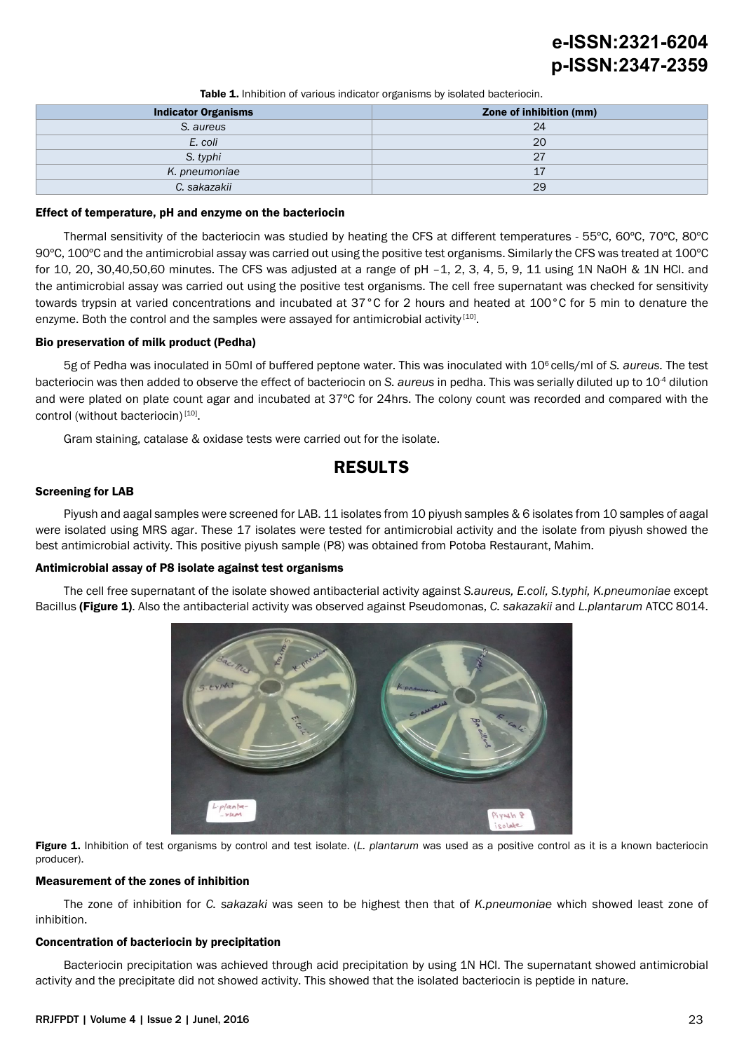# **e-ISSN:2321-6204 p-ISSN:2347-2359**

Table 1. Inhibition of various indicator organisms by isolated bacteriocin.

| <b>Indicator Organisms</b> | Zone of inhibition (mm) |
|----------------------------|-------------------------|
| S. aureus                  | 24                      |
| E. coli                    | 20                      |
| S. typhi                   | 27                      |
| K. pneumoniae              | 17                      |
| C. sakazakii               | 29                      |
|                            |                         |

#### Effect of temperature, pH and enzyme on the bacteriocin

Thermal sensitivity of the bacteriocin was studied by heating the CFS at different temperatures - 55ºC, 60ºC, 70ºC, 80ºC 90ºC, 100ºC and the antimicrobial assay was carried out using the positive test organisms. Similarly the CFS was treated at 100ºC for 10, 20, 30,40,50,60 minutes. The CFS was adjusted at a range of pH –1, 2, 3, 4, 5, 9, 11 using 1N NaOH & 1N HCl. and the antimicrobial assay was carried out using the positive test organisms. The cell free supernatant was checked for sensitivity towards trypsin at varied concentrations and incubated at 37°C for 2 hours and heated at 100°C for 5 min to denature the enzyme. Both the control and the samples were assayed for antimicrobial activity [10].

#### Bio preservation of milk product (Pedha)

5g of Pedha was inoculated in 50ml of buffered peptone water. This was inoculated with 106 cells/ml of *S. aureus.* The test bacteriocin was then added to observe the effect of bacteriocin on *S. aureus* in pedha. This was serially diluted up to 10-4 dilution and were plated on plate count agar and incubated at 37ºC for 24hrs. The colony count was recorded and compared with the control (without bacteriocin)<sup>[10]</sup>.

Gram staining, catalase & oxidase tests were carried out for the isolate.

### **RESULTS**

#### Screening for LAB

Piyush and aagal samples were screened for LAB. 11 isolates from 10 piyush samples & 6 isolates from 10 samples of aagal were isolated using MRS agar. These 17 isolates were tested for antimicrobial activity and the isolate from piyush showed the best antimicrobial activity. This positive piyush sample (P8) was obtained from Potoba Restaurant, Mahim.

#### Antimicrobial assay of P8 isolate against test organisms

The cell free supernatant of the isolate showed antibacterial activity against *S.aureus, E.coli, S.typhi, K.pneumoniae* except Bacillus (Figure 1). Also the antibacterial activity was observed against Pseudomonas, *C. sakazakii* and *L.plantarum* ATCC 8014.



Figure 1. Inhibition of test organisms by control and test isolate. (*L. plantarum* was used as a positive control as it is a known bacteriocin producer).

#### Measurement of the zones of inhibition

The zone of inhibition for *C. sakazaki* was seen to be highest then that of *K.pneumoniae* which showed least zone of inhibition.

#### Concentration of bacteriocin by precipitation

Bacteriocin precipitation was achieved through acid precipitation by using 1N HCl. The supernatant showed antimicrobial activity and the precipitate did not showed activity. This showed that the isolated bacteriocin is peptide in nature.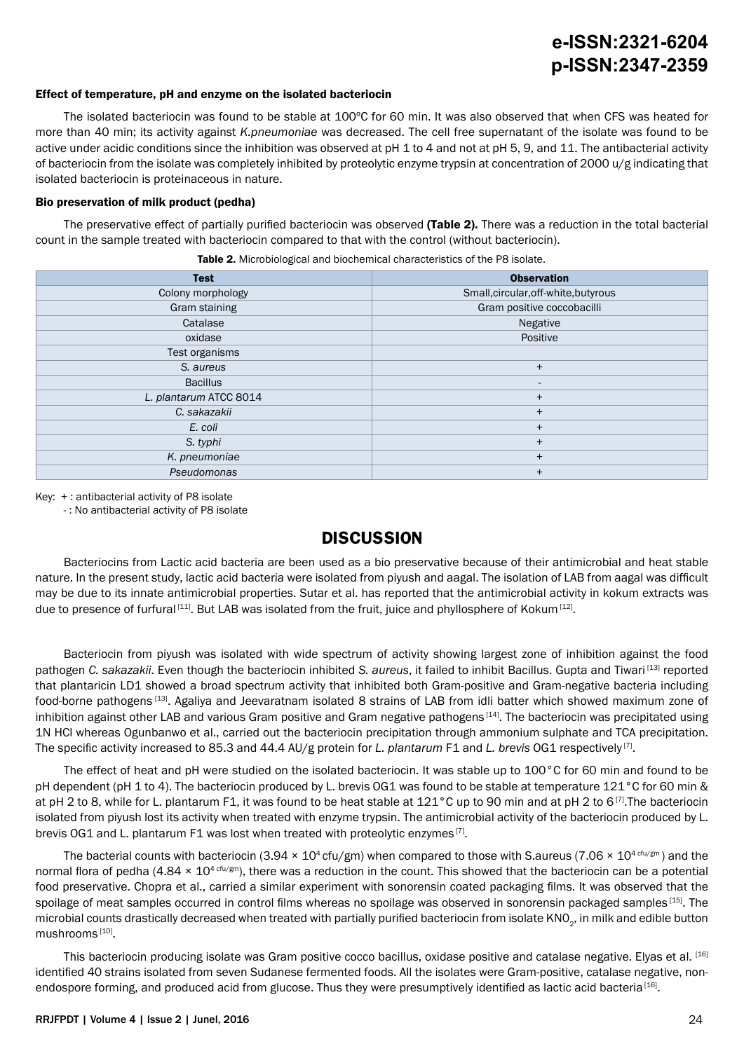# **e-ISSN:2321-6204 p-ISSN:2347-2359**

#### Effect of temperature, pH and enzyme on the isolated bacteriocin

The isolated bacteriocin was found to be stable at 100ºC for 60 min. It was also observed that when CFS was heated for more than 40 min; its activity against *K.pneumoniae* was decreased. The cell free supernatant of the isolate was found to be active under acidic conditions since the inhibition was observed at pH 1 to 4 and not at pH 5, 9, and 11. The antibacterial activity of bacteriocin from the isolate was completely inhibited by proteolytic enzyme trypsin at concentration of 2000 u/g indicating that isolated bacteriocin is proteinaceous in nature.

#### Bio preservation of milk product (pedha)

The preservative effect of partially purified bacteriocin was observed (Table 2). There was a reduction in the total bacterial count in the sample treated with bacteriocin compared to that with the control (without bacteriocin).

Table 2. Microbiological and biochemical characteristics of the P8 isolate.

| <b>Test</b>            | <b>Observation</b>                   |
|------------------------|--------------------------------------|
| Colony morphology      | Small, circular, off-white, butyrous |
| Gram staining          | Gram positive coccobacilli           |
| Catalase               | Negative                             |
| oxidase                | Positive                             |
| Test organisms         |                                      |
| S. aureus              | $\ddot{}$                            |
| <b>Bacillus</b>        |                                      |
| L. plantarum ATCC 8014 | $\ddot{}$                            |
| C. sakazakii           | $\ddot{}$                            |
| E. coli                | $\ddot{}$                            |
| S. typhi               | $\ddot{}$                            |
| K. pneumoniae          | $\ddot{}$                            |
| Pseudomonas            |                                      |

Key: + : antibacterial activity of P8 isolate

- : No antibacterial activity of P8 isolate

### **DISCUSSION**

Bacteriocins from Lactic acid bacteria are been used as a bio preservative because of their antimicrobial and heat stable nature. In the present study, lactic acid bacteria were isolated from piyush and aagal. The isolation of LAB from aagal was difficult may be due to its innate antimicrobial properties. Sutar et al. has reported that the antimicrobial activity in kokum extracts was due to presence of furfural  $[111]$ . But LAB was isolated from the fruit, juice and phyllosphere of Kokum  $[12]$ .

Bacteriocin from piyush was isolated with wide spectrum of activity showing largest zone of inhibition against the food pathogen *C. sakazakii*. Even though the bacteriocin inhibited *S. aureus*, it failed to inhibit Bacillus. Gupta and Tiwari [13] reported that plantaricin LD1 showed a broad spectrum activity that inhibited both Gram-positive and Gram-negative bacteria including food-borne pathogens [13]. Agaliya and Jeevaratnam isolated 8 strains of LAB from idli batter which showed maximum zone of inhibition against other LAB and various Gram positive and Gram negative pathogens<sup>[14]</sup>. The bacteriocin was precipitated using 1N HCl whereas Ogunbanwo et al., carried out the bacteriocin precipitation through ammonium sulphate and TCA precipitation. The specific activity increased to 85.3 and 44.4 AU/g protein for *L. plantarum* F1 and *L. brevis* OG1 respectively [7].

The effect of heat and pH were studied on the isolated bacteriocin. It was stable up to 100°C for 60 min and found to be pH dependent (pH 1 to 4). The bacteriocin produced by L. brevis OG1 was found to be stable at temperature 121°C for 60 min & at pH 2 to 8, while for L. plantarum F1, it was found to be heat stable at  $121^{\circ}$ C up to 90 min and at pH 2 to 6<sup>[7]</sup>. The bacteriocin isolated from piyush lost its activity when treated with enzyme trypsin. The antimicrobial activity of the bacteriocin produced by L. brevis OG1 and L. plantarum F1 was lost when treated with proteolytic enzymes [7].

The bacterial counts with bacteriocin (3.94  $\times$  10<sup>4</sup> cfu/gm) when compared to those with S.aureus (7.06  $\times$  10<sup>4 cfu/gm</sup>) and the normal flora of pedha (4.84  $\times$  10<sup>4 cfu/gm</sup>), there was a reduction in the count. This showed that the bacteriocin can be a potential food preservative. Chopra et al., carried a similar experiment with sonorensin coated packaging films. It was observed that the spoilage of meat samples occurred in control films whereas no spoilage was observed in sonorensin packaged samples [15]. The microbial counts drastically decreased when treated with partially purified bacteriocin from isolate KNO<sub>2</sub>, in milk and edible button mushrooms [10].

This bacteriocin producing isolate was Gram positive cocco bacillus, oxidase positive and catalase negative. Elyas et al. [16] identified 40 strains isolated from seven Sudanese fermented foods. All the isolates were Gram-positive, catalase negative, nonendospore forming, and produced acid from glucose. Thus they were presumptively identified as lactic acid bacteria [16].